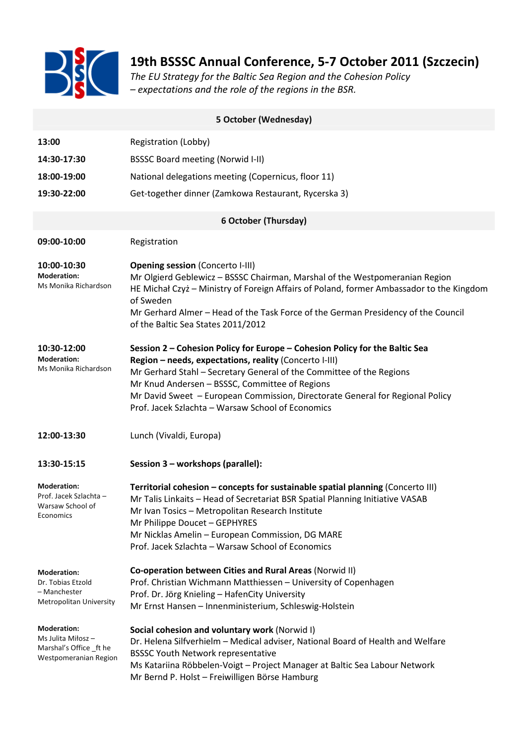

## **19th BSSSC Annual Conference, 5-7 October 2011 (Szczecin)**

*The EU Strategy for the Baltic Sea Region and the Cohesion Policy – expectations and the role of the regions in the BSR.* 

| 5 October (Wednesday)                                                                        |                                                                                                                                                                                                                                                                                                                                                                                                       |  |
|----------------------------------------------------------------------------------------------|-------------------------------------------------------------------------------------------------------------------------------------------------------------------------------------------------------------------------------------------------------------------------------------------------------------------------------------------------------------------------------------------------------|--|
| 13:00                                                                                        | Registration (Lobby)                                                                                                                                                                                                                                                                                                                                                                                  |  |
| 14:30-17:30                                                                                  | <b>BSSSC Board meeting (Norwid I-II)</b>                                                                                                                                                                                                                                                                                                                                                              |  |
| 18:00-19:00                                                                                  | National delegations meeting (Copernicus, floor 11)                                                                                                                                                                                                                                                                                                                                                   |  |
| 19:30-22:00                                                                                  | Get-together dinner (Zamkowa Restaurant, Rycerska 3)                                                                                                                                                                                                                                                                                                                                                  |  |
| <b>6 October (Thursday)</b>                                                                  |                                                                                                                                                                                                                                                                                                                                                                                                       |  |
| 09:00-10:00                                                                                  | Registration                                                                                                                                                                                                                                                                                                                                                                                          |  |
| 10:00-10:30<br><b>Moderation:</b><br>Ms Monika Richardson                                    | <b>Opening session (Concerto I-III)</b><br>Mr Olgierd Geblewicz - BSSSC Chairman, Marshal of the Westpomeranian Region<br>HE Michał Czyż – Ministry of Foreign Affairs of Poland, former Ambassador to the Kingdom<br>of Sweden<br>Mr Gerhard Almer - Head of the Task Force of the German Presidency of the Council<br>of the Baltic Sea States 2011/2012                                            |  |
| 10:30-12:00<br><b>Moderation:</b><br>Ms Monika Richardson                                    | Session 2 - Cohesion Policy for Europe - Cohesion Policy for the Baltic Sea<br>Region - needs, expectations, reality (Concerto I-III)<br>Mr Gerhard Stahl - Secretary General of the Committee of the Regions<br>Mr Knud Andersen - BSSSC, Committee of Regions<br>Mr David Sweet - European Commission, Directorate General for Regional Policy<br>Prof. Jacek Szlachta - Warsaw School of Economics |  |
| 12:00-13:30                                                                                  | Lunch (Vivaldi, Europa)                                                                                                                                                                                                                                                                                                                                                                               |  |
| 13:30-15:15                                                                                  | Session 3 - workshops (parallel):                                                                                                                                                                                                                                                                                                                                                                     |  |
| <b>Moderation:</b><br>Prof. Jacek Szlachta -<br>Warsaw School of<br>Economics                | Territorial cohesion - concepts for sustainable spatial planning (Concerto III)<br>Mr Talis Linkaits - Head of Secretariat BSR Spatial Planning Initiative VASAB<br>Mr Ivan Tosics - Metropolitan Research Institute<br>Mr Philippe Doucet - GEPHYRES<br>Mr Nicklas Amelin - European Commission, DG MARE<br>Prof. Jacek Szlachta - Warsaw School of Economics                                        |  |
| <b>Moderation:</b><br>Dr. Tobias Etzold<br>– Manchester<br>Metropolitan University           | Co-operation between Cities and Rural Areas (Norwid II)<br>Prof. Christian Wichmann Matthiessen - University of Copenhagen<br>Prof. Dr. Jörg Knieling - HafenCity University<br>Mr Ernst Hansen - Innenministerium, Schleswig-Holstein                                                                                                                                                                |  |
| <b>Moderation:</b><br>Ms Julita Miłosz –<br>Marshal's Office _ft he<br>Westpomeranian Region | Social cohesion and voluntary work (Norwid I)<br>Dr. Helena Silfverhielm - Medical adviser, National Board of Health and Welfare<br><b>BSSSC Youth Network representative</b><br>Ms Katariina Röbbelen-Voigt - Project Manager at Baltic Sea Labour Network<br>Mr Bernd P. Holst - Freiwilligen Börse Hamburg                                                                                         |  |